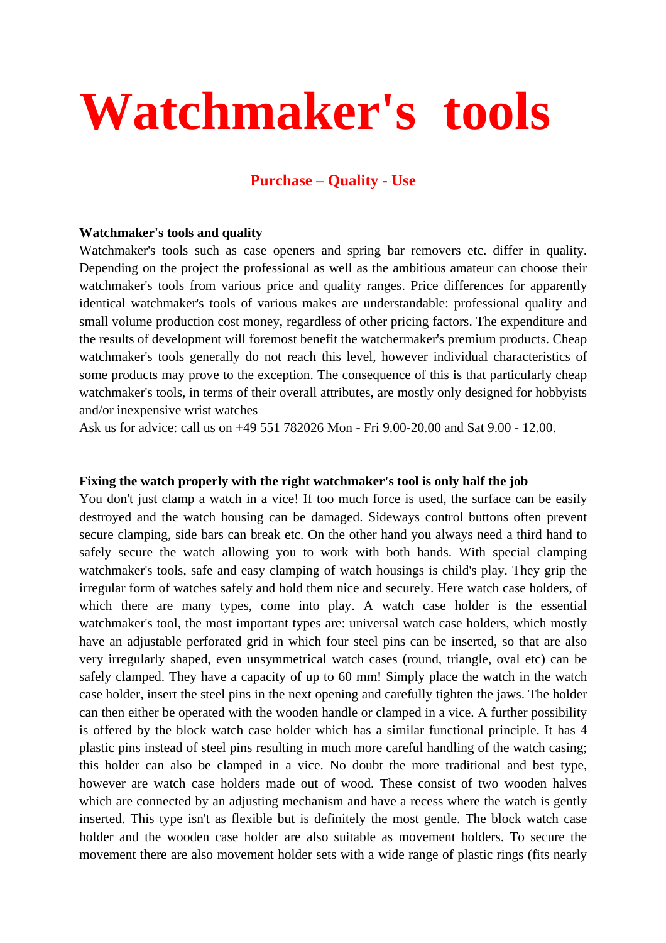# **Watchmaker's tools**

# **Purchase – Quality - Use**

#### **Watchmaker's tools and quality**

Watchmaker's tools such as case openers and spring bar removers etc. differ in quality. Depending on the project the professional as well as the ambitious amateur can choose their watchmaker's tools from various price and quality ranges. Price differences for apparently identical watchmaker's tools of various makes are understandable: professional quality and small volume production cost money, regardless of other pricing factors. The expenditure and the results of development will foremost benefit the watchermaker's premium products. Cheap watchmaker's tools generally do not reach this level, however individual characteristics of some products may prove to the exception. The consequence of this is that particularly cheap watchmaker's tools, in terms of their overall attributes, are mostly only designed for hobbyists and/or inexpensive wrist watches

Ask us for advice: call us on +49 551 782026 Mon - Fri 9.00-20.00 and Sat 9.00 - 12.00.

#### **Fixing the watch properly with the right watchmaker's tool is only half the job**

You don't just clamp a watch in a vice! If too much force is used, the surface can be easily destroyed and the watch housing can be damaged. Sideways control buttons often prevent secure clamping, side bars can break etc. On the other hand you always need a third hand to safely secure the watch allowing you to work with both hands. With special clamping watchmaker's tools, safe and easy clamping of watch housings is child's play. They grip the irregular form of watches safely and hold them nice and securely. Here watch case holders, of which there are many types, come into play. A watch case holder is the essential watchmaker's tool, the most important types are: universal watch case holders, which mostly have an adjustable perforated grid in which four steel pins can be inserted, so that are also very irregularly shaped, even unsymmetrical watch cases (round, triangle, oval etc) can be safely clamped. They have a capacity of up to 60 mm! Simply place the watch in the watch case holder, insert the steel pins in the next opening and carefully tighten the jaws. The holder can then either be operated with the wooden handle or clamped in a vice. A further possibility is offered by the block watch case holder which has a similar functional principle. It has 4 plastic pins instead of steel pins resulting in much more careful handling of the watch casing; this holder can also be clamped in a vice. No doubt the more traditional and best type, however are watch case holders made out of wood. These consist of two wooden halves which are connected by an adjusting mechanism and have a recess where the watch is gently inserted. This type isn't as flexible but is definitely the most gentle. The block watch case holder and the wooden case holder are also suitable as movement holders. To secure the movement there are also movement holder sets with a wide range of plastic rings (fits nearly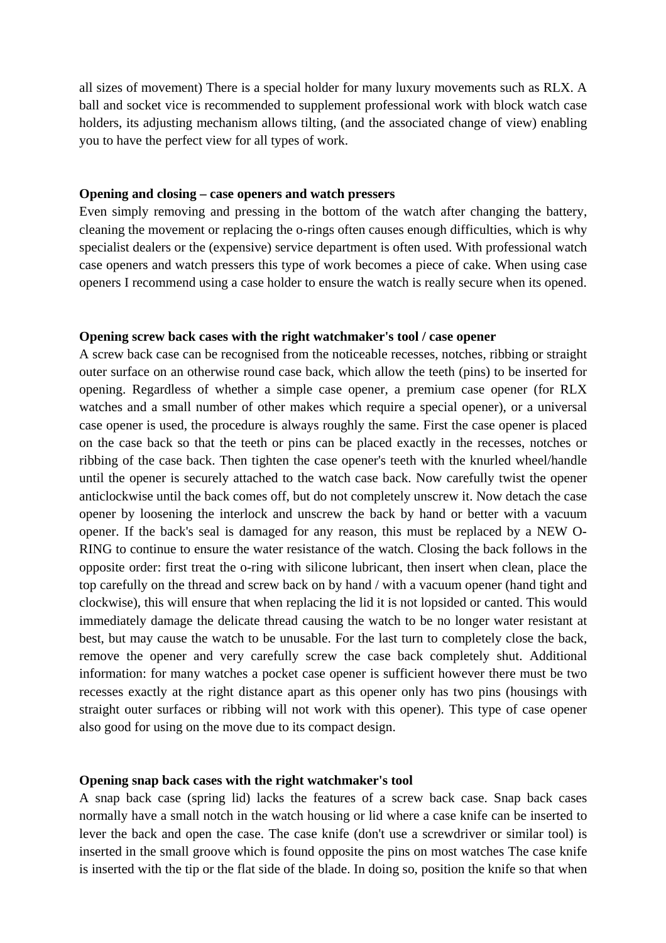all sizes of movement) There is a special holder for many luxury movements such as RLX. A ball and socket vice is recommended to supplement professional work with block watch case holders, its adjusting mechanism allows tilting, (and the associated change of view) enabling you to have the perfect view for all types of work.

#### **Opening and closing – case openers and watch pressers**

Even simply removing and pressing in the bottom of the watch after changing the battery, cleaning the movement or replacing the o-rings often causes enough difficulties, which is why specialist dealers or the (expensive) service department is often used. With professional watch case openers and watch pressers this type of work becomes a piece of cake. When using case openers I recommend using a case holder to ensure the watch is really secure when its opened.

#### **Opening screw back cases with the right watchmaker's tool / case opener**

A screw back case can be recognised from the noticeable recesses, notches, ribbing or straight outer surface on an otherwise round case back, which allow the teeth (pins) to be inserted for opening. Regardless of whether a simple case opener, a premium case opener (for RLX watches and a small number of other makes which require a special opener), or a universal case opener is used, the procedure is always roughly the same. First the case opener is placed on the case back so that the teeth or pins can be placed exactly in the recesses, notches or ribbing of the case back. Then tighten the case opener's teeth with the knurled wheel/handle until the opener is securely attached to the watch case back. Now carefully twist the opener anticlockwise until the back comes off, but do not completely unscrew it. Now detach the case opener by loosening the interlock and unscrew the back by hand or better with a vacuum opener. If the back's seal is damaged for any reason, this must be replaced by a NEW O-RING to continue to ensure the water resistance of the watch. Closing the back follows in the opposite order: first treat the o-ring with silicone lubricant, then insert when clean, place the top carefully on the thread and screw back on by hand / with a vacuum opener (hand tight and clockwise), this will ensure that when replacing the lid it is not lopsided or canted. This would immediately damage the delicate thread causing the watch to be no longer water resistant at best, but may cause the watch to be unusable. For the last turn to completely close the back, remove the opener and very carefully screw the case back completely shut. Additional information: for many watches a pocket case opener is sufficient however there must be two recesses exactly at the right distance apart as this opener only has two pins (housings with straight outer surfaces or ribbing will not work with this opener). This type of case opener also good for using on the move due to its compact design.

#### **Opening snap back cases with the right watchmaker's tool**

A snap back case (spring lid) lacks the features of a screw back case. Snap back cases normally have a small notch in the watch housing or lid where a case knife can be inserted to lever the back and open the case. The case knife (don't use a screwdriver or similar tool) is inserted in the small groove which is found opposite the pins on most watches The case knife is inserted with the tip or the flat side of the blade. In doing so, position the knife so that when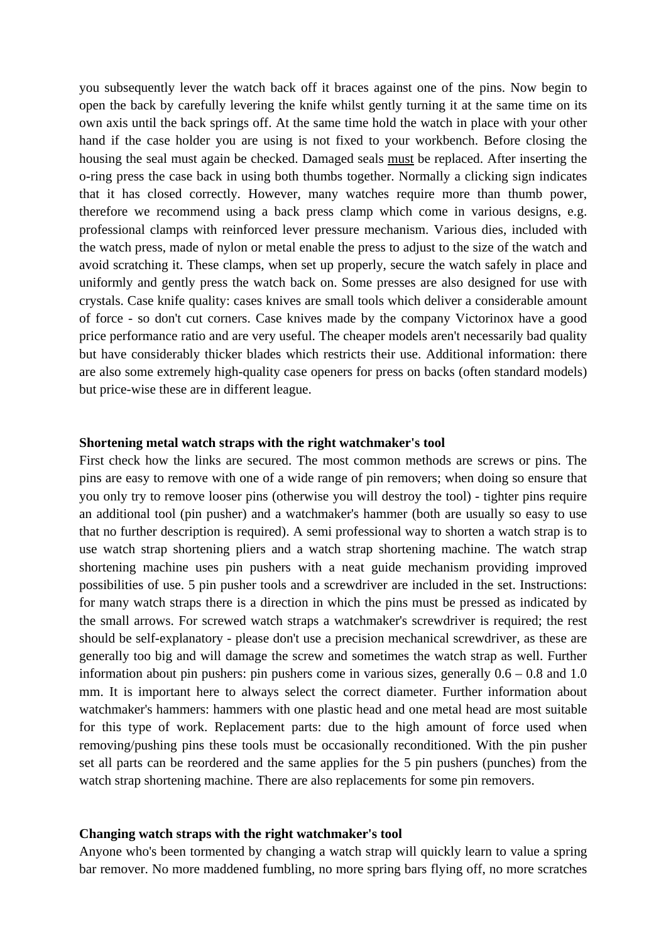you subsequently lever the watch back off it braces against one of the pins. Now begin to open the back by carefully levering the knife whilst gently turning it at the same time on its own axis until the back springs off. At the same time hold the watch in place with your other hand if the case holder you are using is not fixed to your workbench. Before closing the housing the seal must again be checked. Damaged seals must be replaced. After inserting the o-ring press the case back in using both thumbs together. Normally a clicking sign indicates that it has closed correctly. However, many watches require more than thumb power, therefore we recommend using a back press clamp which come in various designs, e.g. professional clamps with reinforced lever pressure mechanism. Various dies, included with the watch press, made of nylon or metal enable the press to adjust to the size of the watch and avoid scratching it. These clamps, when set up properly, secure the watch safely in place and uniformly and gently press the watch back on. Some presses are also designed for use with crystals. Case knife quality: cases knives are small tools which deliver a considerable amount of force - so don't cut corners. Case knives made by the company Victorinox have a good price performance ratio and are very useful. The cheaper models aren't necessarily bad quality but have considerably thicker blades which restricts their use. Additional information: there are also some extremely high-quality case openers for press on backs (often standard models) but price-wise these are in different league.

#### **Shortening metal watch straps with the right watchmaker's tool**

First check how the links are secured. The most common methods are screws or pins. The pins are easy to remove with one of a wide range of pin removers; when doing so ensure that you only try to remove looser pins (otherwise you will destroy the tool) - tighter pins require an additional tool (pin pusher) and a watchmaker's hammer (both are usually so easy to use that no further description is required). A semi professional way to shorten a watch strap is to use watch strap shortening pliers and a watch strap shortening machine. The watch strap shortening machine uses pin pushers with a neat guide mechanism providing improved possibilities of use. 5 pin pusher tools and a screwdriver are included in the set. Instructions: for many watch straps there is a direction in which the pins must be pressed as indicated by the small arrows. For screwed watch straps a watchmaker's screwdriver is required; the rest should be self-explanatory - please don't use a precision mechanical screwdriver, as these are generally too big and will damage the screw and sometimes the watch strap as well. Further information about pin pushers: pin pushers come in various sizes, generally  $0.6 - 0.8$  and  $1.0$ mm. It is important here to always select the correct diameter. Further information about watchmaker's hammers: hammers with one plastic head and one metal head are most suitable for this type of work. Replacement parts: due to the high amount of force used when removing/pushing pins these tools must be occasionally reconditioned. With the pin pusher set all parts can be reordered and the same applies for the 5 pin pushers (punches) from the watch strap shortening machine. There are also replacements for some pin removers.

#### **Changing watch straps with the right watchmaker's tool**

Anyone who's been tormented by changing a watch strap will quickly learn to value a spring bar remover. No more maddened fumbling, no more spring bars flying off, no more scratches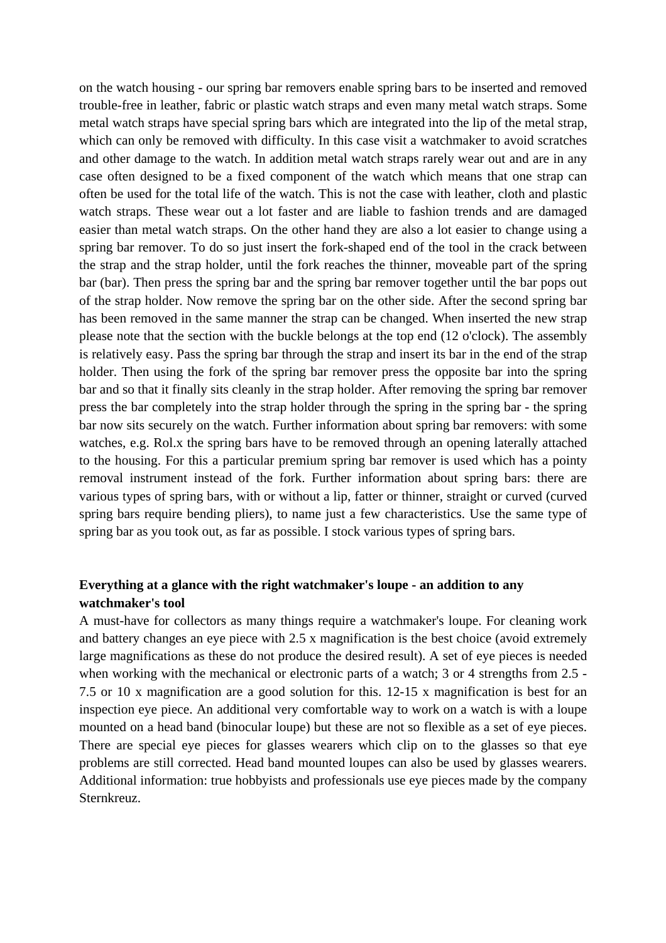on the watch housing - our spring bar removers enable spring bars to be inserted and removed trouble-free in leather, fabric or plastic watch straps and even many metal watch straps. Some metal watch straps have special spring bars which are integrated into the lip of the metal strap, which can only be removed with difficulty. In this case visit a watchmaker to avoid scratches and other damage to the watch. In addition metal watch straps rarely wear out and are in any case often designed to be a fixed component of the watch which means that one strap can often be used for the total life of the watch. This is not the case with leather, cloth and plastic watch straps. These wear out a lot faster and are liable to fashion trends and are damaged easier than metal watch straps. On the other hand they are also a lot easier to change using a spring bar remover. To do so just insert the fork-shaped end of the tool in the crack between the strap and the strap holder, until the fork reaches the thinner, moveable part of the spring bar (bar). Then press the spring bar and the spring bar remover together until the bar pops out of the strap holder. Now remove the spring bar on the other side. After the second spring bar has been removed in the same manner the strap can be changed. When inserted the new strap please note that the section with the buckle belongs at the top end (12 o'clock). The assembly is relatively easy. Pass the spring bar through the strap and insert its bar in the end of the strap holder. Then using the fork of the spring bar remover press the opposite bar into the spring bar and so that it finally sits cleanly in the strap holder. After removing the spring bar remover press the bar completely into the strap holder through the spring in the spring bar - the spring bar now sits securely on the watch. Further information about spring bar removers: with some watches, e.g. Rol.x the spring bars have to be removed through an opening laterally attached to the housing. For this a particular premium spring bar remover is used which has a pointy removal instrument instead of the fork. Further information about spring bars: there are various types of spring bars, with or without a lip, fatter or thinner, straight or curved (curved spring bars require bending pliers), to name just a few characteristics. Use the same type of spring bar as you took out, as far as possible. I stock various types of spring bars.

# **Everything at a glance with the right watchmaker's loupe - an addition to any watchmaker's tool**

A must-have for collectors as many things require a watchmaker's loupe. For cleaning work and battery changes an eye piece with 2.5 x magnification is the best choice (avoid extremely large magnifications as these do not produce the desired result). A set of eye pieces is needed when working with the mechanical or electronic parts of a watch; 3 or 4 strengths from 2.5 -7.5 or 10 x magnification are a good solution for this. 12-15 x magnification is best for an inspection eye piece. An additional very comfortable way to work on a watch is with a loupe mounted on a head band (binocular loupe) but these are not so flexible as a set of eye pieces. There are special eye pieces for glasses wearers which clip on to the glasses so that eye problems are still corrected. Head band mounted loupes can also be used by glasses wearers. Additional information: true hobbyists and professionals use eye pieces made by the company Sternkreuz.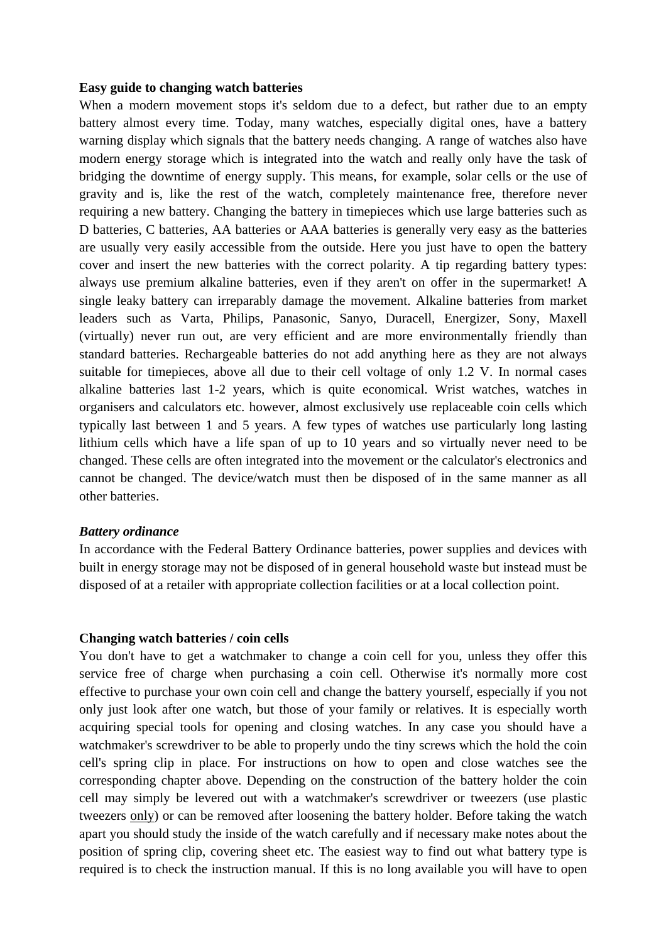#### **Easy guide to changing watch batteries**

When a modern movement stops it's seldom due to a defect, but rather due to an empty battery almost every time. Today, many watches, especially digital ones, have a battery warning display which signals that the battery needs changing. A range of watches also have modern energy storage which is integrated into the watch and really only have the task of bridging the downtime of energy supply. This means, for example, solar cells or the use of gravity and is, like the rest of the watch, completely maintenance free, therefore never requiring a new battery. Changing the battery in timepieces which use large batteries such as D batteries, C batteries, AA batteries or AAA batteries is generally very easy as the batteries are usually very easily accessible from the outside. Here you just have to open the battery cover and insert the new batteries with the correct polarity. A tip regarding battery types: always use premium alkaline batteries, even if they aren't on offer in the supermarket! A single leaky battery can irreparably damage the movement. Alkaline batteries from market leaders such as Varta, Philips, Panasonic, Sanyo, Duracell, Energizer, Sony, Maxell (virtually) never run out, are very efficient and are more environmentally friendly than standard batteries. Rechargeable batteries do not add anything here as they are not always suitable for timepieces, above all due to their cell voltage of only 1.2 V. In normal cases alkaline batteries last 1-2 years, which is quite economical. Wrist watches, watches in organisers and calculators etc. however, almost exclusively use replaceable coin cells which typically last between 1 and 5 years. A few types of watches use particularly long lasting lithium cells which have a life span of up to 10 years and so virtually never need to be changed. These cells are often integrated into the movement or the calculator's electronics and cannot be changed. The device/watch must then be disposed of in the same manner as all other batteries.

#### *Battery ordinance*

In accordance with the Federal Battery Ordinance batteries, power supplies and devices with built in energy storage may not be disposed of in general household waste but instead must be disposed of at a retailer with appropriate collection facilities or at a local collection point.

#### **Changing watch batteries / coin cells**

You don't have to get a watchmaker to change a coin cell for you, unless they offer this service free of charge when purchasing a coin cell. Otherwise it's normally more cost effective to purchase your own coin cell and change the battery yourself, especially if you not only just look after one watch, but those of your family or relatives. It is especially worth acquiring special tools for opening and closing watches. In any case you should have a watchmaker's screwdriver to be able to properly undo the tiny screws which the hold the coin cell's spring clip in place. For instructions on how to open and close watches see the corresponding chapter above. Depending on the construction of the battery holder the coin cell may simply be levered out with a watchmaker's screwdriver or tweezers (use plastic tweezers only) or can be removed after loosening the battery holder. Before taking the watch apart you should study the inside of the watch carefully and if necessary make notes about the position of spring clip, covering sheet etc. The easiest way to find out what battery type is required is to check the instruction manual. If this is no long available you will have to open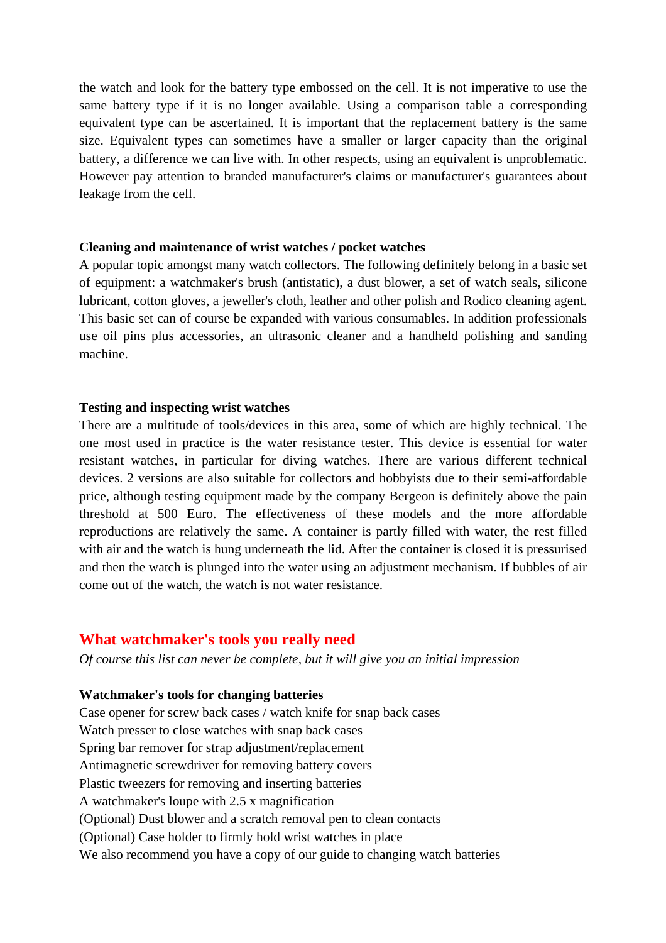the watch and look for the battery type embossed on the cell. It is not imperative to use the same battery type if it is no longer available. Using a comparison table a corresponding equivalent type can be ascertained. It is important that the replacement battery is the same size. Equivalent types can sometimes have a smaller or larger capacity than the original battery, a difference we can live with. In other respects, using an equivalent is unproblematic. However pay attention to branded manufacturer's claims or manufacturer's guarantees about leakage from the cell.

### **Cleaning and maintenance of wrist watches / pocket watches**

A popular topic amongst many watch collectors. The following definitely belong in a basic set of equipment: a watchmaker's brush (antistatic), a dust blower, a set of watch seals, silicone lubricant, cotton gloves, a jeweller's cloth, leather and other polish and Rodico cleaning agent. This basic set can of course be expanded with various consumables. In addition professionals use oil pins plus accessories, an ultrasonic cleaner and a handheld polishing and sanding machine.

## **Testing and inspecting wrist watches**

There are a multitude of tools/devices in this area, some of which are highly technical. The one most used in practice is the water resistance tester. This device is essential for water resistant watches, in particular for diving watches. There are various different technical devices. 2 versions are also suitable for collectors and hobbyists due to their semi-affordable price, although testing equipment made by the company Bergeon is definitely above the pain threshold at 500 Euro. The effectiveness of these models and the more affordable reproductions are relatively the same. A container is partly filled with water, the rest filled with air and the watch is hung underneath the lid. After the container is closed it is pressurised and then the watch is plunged into the water using an adjustment mechanism. If bubbles of air come out of the watch, the watch is not water resistance.

# **What watchmaker's tools you really need**

*Of course this list can never be complete, but it will give you an initial impression* 

## **Watchmaker's tools for changing batteries**

Case opener for screw back cases / watch knife for snap back cases Watch presser to close watches with snap back cases Spring bar remover for strap adjustment/replacement Antimagnetic screwdriver for removing battery covers Plastic tweezers for removing and inserting batteries A watchmaker's loupe with 2.5 x magnification (Optional) Dust blower and a scratch removal pen to clean contacts (Optional) Case holder to firmly hold wrist watches in place We also recommend you have a copy of our guide to changing watch batteries